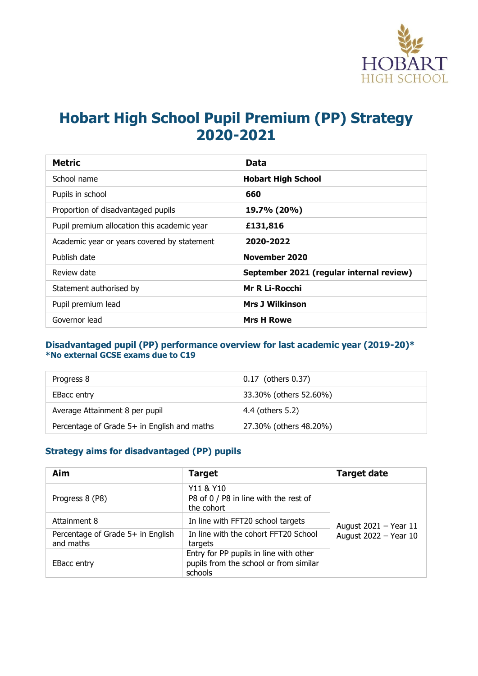

# **Hobart High School Pupil Premium (PP) Strategy 2020-2021**

| <b>Metric</b>                               | Data                                     |
|---------------------------------------------|------------------------------------------|
| School name                                 | <b>Hobart High School</b>                |
| Pupils in school                            | 660                                      |
| Proportion of disadvantaged pupils          | 19.7% (20%)                              |
| Pupil premium allocation this academic year | £131,816                                 |
| Academic year or years covered by statement | 2020-2022                                |
| Publish date                                | November 2020                            |
| Review date                                 | September 2021 (regular internal review) |
| Statement authorised by                     | <b>Mr R Li-Rocchi</b>                    |
| Pupil premium lead                          | <b>Mrs J Wilkinson</b>                   |
| Governor lead                               | <b>Mrs H Rowe</b>                        |

#### **Disadvantaged pupil (PP) performance overview for last academic year (2019-20)\* \*No external GCSE exams due to C19**

| Progress 8                                  | 0.17 (others 0.37)     |
|---------------------------------------------|------------------------|
| <b>EBacc entry</b>                          | 33.30% (others 52.60%) |
| Average Attainment 8 per pupil              | 4.4 (others 5.2)       |
| Percentage of Grade 5+ in English and maths | 27.30% (others 48.20%) |

## **Strategy aims for disadvantaged (PP) pupils**

| Aim                                            | <b>Target</b>                                                                               | <b>Target date</b>    |
|------------------------------------------------|---------------------------------------------------------------------------------------------|-----------------------|
| Progress 8 (P8)                                | Y11 & Y10<br>P8 of 0 / P8 in line with the rest of<br>the cohort                            |                       |
| Attainment 8                                   | In line with FFT20 school targets                                                           | August 2021 - Year 11 |
| Percentage of Grade 5+ in English<br>and maths | In line with the cohort FFT20 School<br>targets                                             | August 2022 - Year 10 |
| <b>EBacc entry</b>                             | Entry for PP pupils in line with other<br>pupils from the school or from similar<br>schools |                       |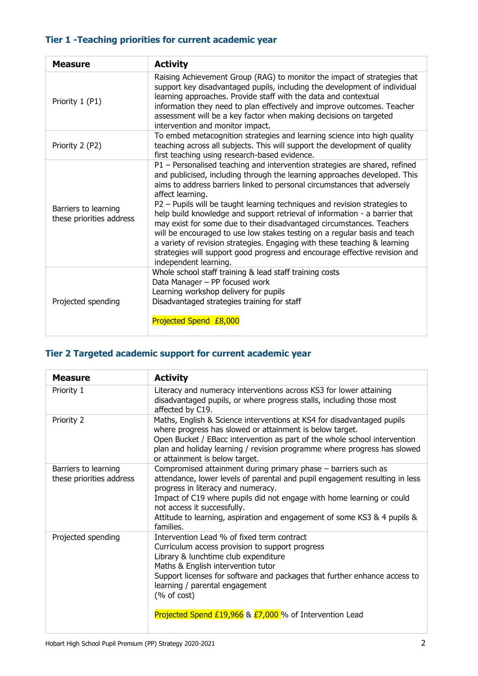## **Tier 1 -Teaching priorities for current academic year**

| <b>Measure</b>                                   | <b>Activity</b>                                                                                                                                                                                                                                                                                                                                                                                                                                                                                                                                                                                                                                                                                                                                              |
|--------------------------------------------------|--------------------------------------------------------------------------------------------------------------------------------------------------------------------------------------------------------------------------------------------------------------------------------------------------------------------------------------------------------------------------------------------------------------------------------------------------------------------------------------------------------------------------------------------------------------------------------------------------------------------------------------------------------------------------------------------------------------------------------------------------------------|
| Priority 1 (P1)                                  | Raising Achievement Group (RAG) to monitor the impact of strategies that<br>support key disadvantaged pupils, including the development of individual<br>learning approaches. Provide staff with the data and contextual<br>information they need to plan effectively and improve outcomes. Teacher<br>assessment will be a key factor when making decisions on targeted<br>intervention and monitor impact.                                                                                                                                                                                                                                                                                                                                                 |
| Priority 2 (P2)                                  | To embed metacognition strategies and learning science into high quality<br>teaching across all subjects. This will support the development of quality<br>first teaching using research-based evidence.                                                                                                                                                                                                                                                                                                                                                                                                                                                                                                                                                      |
| Barriers to learning<br>these priorities address | P1 - Personalised teaching and intervention strategies are shared, refined<br>and publicised, including through the learning approaches developed. This<br>aims to address barriers linked to personal circumstances that adversely<br>affect learning.<br>P2 - Pupils will be taught learning techniques and revision strategies to<br>help build knowledge and support retrieval of information - a barrier that<br>may exist for some due to their disadvantaged circumstances. Teachers<br>will be encouraged to use low stakes testing on a regular basis and teach<br>a variety of revision strategies. Engaging with these teaching & learning<br>strategies will support good progress and encourage effective revision and<br>independent learning. |
| Projected spending                               | Whole school staff training & lead staff training costs<br>Data Manager - PP focused work<br>Learning workshop delivery for pupils<br>Disadvantaged strategies training for staff<br>Projected Spend £8,000                                                                                                                                                                                                                                                                                                                                                                                                                                                                                                                                                  |

# **Tier 2 Targeted academic support for current academic year**

| <b>Measure</b>                                   | <b>Activity</b>                                                                                                                                                                                                                                                                                                                                                                      |
|--------------------------------------------------|--------------------------------------------------------------------------------------------------------------------------------------------------------------------------------------------------------------------------------------------------------------------------------------------------------------------------------------------------------------------------------------|
| Priority 1                                       | Literacy and numeracy interventions across KS3 for lower attaining<br>disadvantaged pupils, or where progress stalls, including those most<br>affected by C19.                                                                                                                                                                                                                       |
| Priority 2                                       | Maths, English & Science interventions at KS4 for disadvantaged pupils<br>where progress has slowed or attainment is below target.<br>Open Bucket / EBacc intervention as part of the whole school intervention<br>plan and holiday learning / revision programme where progress has slowed<br>or attainment is below target.                                                        |
| Barriers to learning<br>these priorities address | Compromised attainment during primary phase - barriers such as<br>attendance, lower levels of parental and pupil engagement resulting in less<br>progress in literacy and numeracy.<br>Impact of C19 where pupils did not engage with home learning or could<br>not access it successfully.<br>Attitude to learning, aspiration and engagement of some KS3 & 4 pupils &<br>families. |
| Projected spending                               | Intervention Lead % of fixed term contract<br>Curriculum access provision to support progress<br>Library & lunchtime club expenditure<br>Maths & English intervention tutor<br>Support licenses for software and packages that further enhance access to<br>learning / parental engagement<br>(% of cost)<br>Projected Spend £19,966 & $E7,000$ % of Intervention Lead               |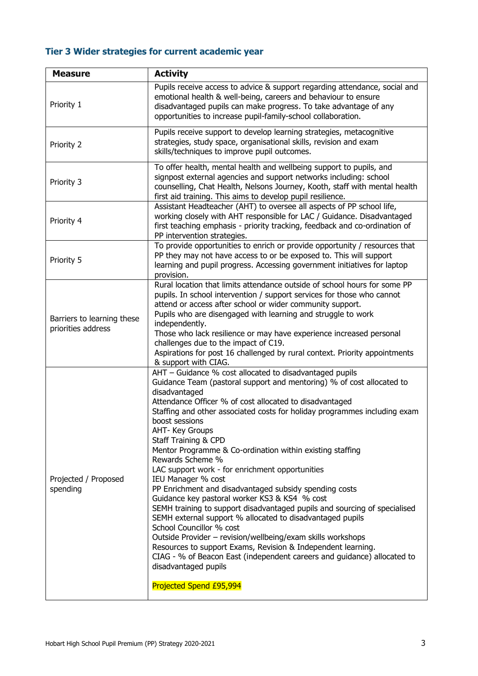# **Tier 3 Wider strategies for current academic year**

| <b>Measure</b>                                   | <b>Activity</b>                                                                                                                                                                                                                                                                                                                                                                                                                                                                                                                                                                                                                                                                                                                                                                                                                                                                                                                                                                                                                                                |  |
|--------------------------------------------------|----------------------------------------------------------------------------------------------------------------------------------------------------------------------------------------------------------------------------------------------------------------------------------------------------------------------------------------------------------------------------------------------------------------------------------------------------------------------------------------------------------------------------------------------------------------------------------------------------------------------------------------------------------------------------------------------------------------------------------------------------------------------------------------------------------------------------------------------------------------------------------------------------------------------------------------------------------------------------------------------------------------------------------------------------------------|--|
| Priority 1                                       | Pupils receive access to advice & support regarding attendance, social and<br>emotional health & well-being, careers and behaviour to ensure<br>disadvantaged pupils can make progress. To take advantage of any<br>opportunities to increase pupil-family-school collaboration.                                                                                                                                                                                                                                                                                                                                                                                                                                                                                                                                                                                                                                                                                                                                                                               |  |
| Priority 2                                       | Pupils receive support to develop learning strategies, metacognitive<br>strategies, study space, organisational skills, revision and exam<br>skills/techniques to improve pupil outcomes.                                                                                                                                                                                                                                                                                                                                                                                                                                                                                                                                                                                                                                                                                                                                                                                                                                                                      |  |
| Priority 3                                       | To offer health, mental health and wellbeing support to pupils, and<br>signpost external agencies and support networks including: school<br>counselling, Chat Health, Nelsons Journey, Kooth, staff with mental health<br>first aid training. This aims to develop pupil resilience.                                                                                                                                                                                                                                                                                                                                                                                                                                                                                                                                                                                                                                                                                                                                                                           |  |
| Priority 4                                       | Assistant Headteacher (AHT) to oversee all aspects of PP school life,<br>working closely with AHT responsible for LAC / Guidance. Disadvantaged<br>first teaching emphasis - priority tracking, feedback and co-ordination of<br>PP intervention strategies.                                                                                                                                                                                                                                                                                                                                                                                                                                                                                                                                                                                                                                                                                                                                                                                                   |  |
| Priority 5                                       | To provide opportunities to enrich or provide opportunity / resources that<br>PP they may not have access to or be exposed to. This will support<br>learning and pupil progress. Accessing government initiatives for laptop<br>provision.                                                                                                                                                                                                                                                                                                                                                                                                                                                                                                                                                                                                                                                                                                                                                                                                                     |  |
| Barriers to learning these<br>priorities address | Rural location that limits attendance outside of school hours for some PP<br>pupils. In school intervention / support services for those who cannot<br>attend or access after school or wider community support.<br>Pupils who are disengaged with learning and struggle to work<br>independently.<br>Those who lack resilience or may have experience increased personal<br>challenges due to the impact of C19.<br>Aspirations for post 16 challenged by rural context. Priority appointments<br>& support with CIAG.                                                                                                                                                                                                                                                                                                                                                                                                                                                                                                                                        |  |
| Projected / Proposed<br>spending                 | AHT - Guidance % cost allocated to disadvantaged pupils<br>Guidance Team (pastoral support and mentoring) % of cost allocated to<br>disadvantaged<br>Attendance Officer % of cost allocated to disadvantaged<br>Staffing and other associated costs for holiday programmes including exam<br>boost sessions<br>AHT- Key Groups<br>Staff Training & CPD<br>Mentor Programme & Co-ordination within existing staffing<br>Rewards Scheme %<br>LAC support work - for enrichment opportunities<br>IEU Manager % cost<br>PP Enrichment and disadvantaged subsidy spending costs<br>Guidance key pastoral worker KS3 & KS4 % cost<br>SEMH training to support disadvantaged pupils and sourcing of specialised<br>SEMH external support % allocated to disadvantaged pupils<br>School Councillor % cost<br>Outside Provider - revision/wellbeing/exam skills workshops<br>Resources to support Exams, Revision & Independent learning.<br>CIAG - % of Beacon East (independent careers and guidance) allocated to<br>disadvantaged pupils<br>Projected Spend £95,994 |  |